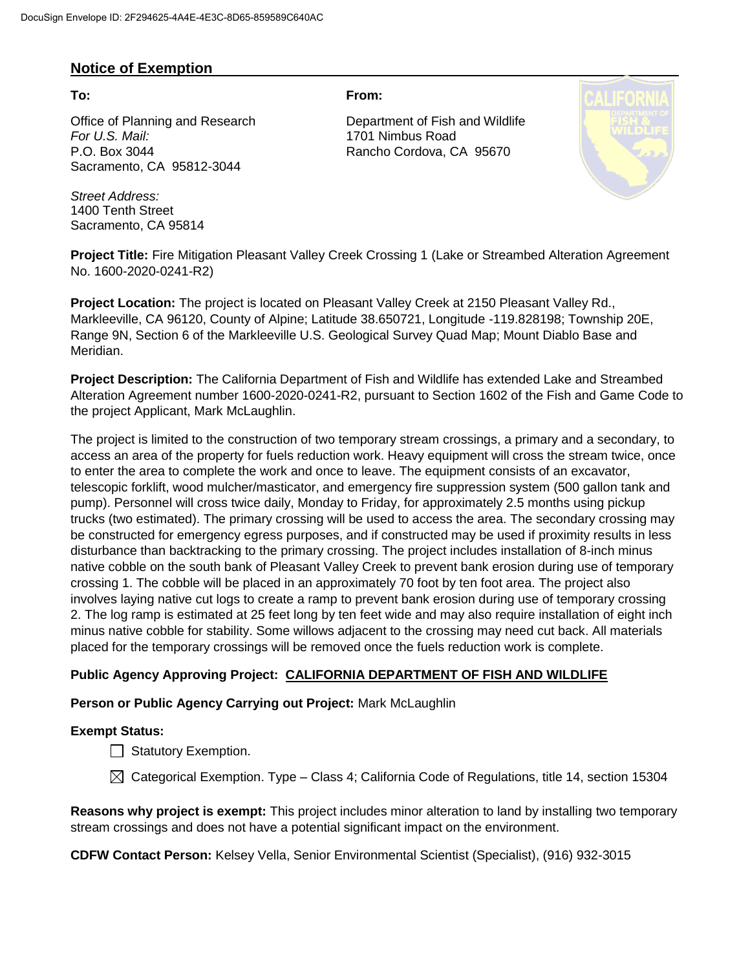## **Notice of Exemption**

Office of Planning and Research Department of Fish and Wildlife *For U.S. Mail:* 1701 Nimbus Road P.O. Box 3044 Rancho Cordova, CA 95670 Sacramento, CA 95812-3044

*Street Address:* 1400 Tenth Street Sacramento, CA 95814

**To: From:** 



**Project Title:** Fire Mitigation Pleasant Valley Creek Crossing 1 (Lake or Streambed Alteration Agreement No. 1600-2020-0241-R2)

**Project Location:** The project is located on Pleasant Valley Creek at 2150 Pleasant Valley Rd., Markleeville, CA 96120, County of Alpine; Latitude 38.650721, Longitude -119.828198; Township 20E, Range 9N, Section 6 of the Markleeville U.S. Geological Survey Quad Map; Mount Diablo Base and Meridian.

**Project Description:** The California Department of Fish and Wildlife has extended Lake and Streambed Alteration Agreement number 1600-2020-0241-R2, pursuant to Section 1602 of the Fish and Game Code to the project Applicant, Mark McLaughlin.

The project is limited to the construction of two temporary stream crossings, a primary and a secondary, to access an area of the property for fuels reduction work. Heavy equipment will cross the stream twice, once to enter the area to complete the work and once to leave. The equipment consists of an excavator, telescopic forklift, wood mulcher/masticator, and emergency fire suppression system (500 gallon tank and pump). Personnel will cross twice daily, Monday to Friday, for approximately 2.5 months using pickup trucks (two estimated). The primary crossing will be used to access the area. The secondary crossing may be constructed for emergency egress purposes, and if constructed may be used if proximity results in less disturbance than backtracking to the primary crossing. The project includes installation of 8-inch minus native cobble on the south bank of Pleasant Valley Creek to prevent bank erosion during use of temporary crossing 1. The cobble will be placed in an approximately 70 foot by ten foot area. The project also involves laying native cut logs to create a ramp to prevent bank erosion during use of temporary crossing 2. The log ramp is estimated at 25 feet long by ten feet wide and may also require installation of eight inch minus native cobble for stability. Some willows adjacent to the crossing may need cut back. All materials placed for the temporary crossings will be removed once the fuels reduction work is complete.

### **Public Agency Approving Project: CALIFORNIA DEPARTMENT OF FISH AND WILDLIFE**

### **Person or Public Agency Carrying out Project:** Mark McLaughlin

#### **Exempt Status:**

- $\Box$  Statutory Exemption.
- $\boxtimes$  Categorical Exemption. Type Class 4; California Code of Regulations, title 14, section 15304

**Reasons why project is exempt:** This project includes minor alteration to land by installing two temporary stream crossings and does not have a potential significant impact on the environment.

**CDFW Contact Person:** Kelsey Vella, Senior Environmental Scientist (Specialist), (916) 932-3015